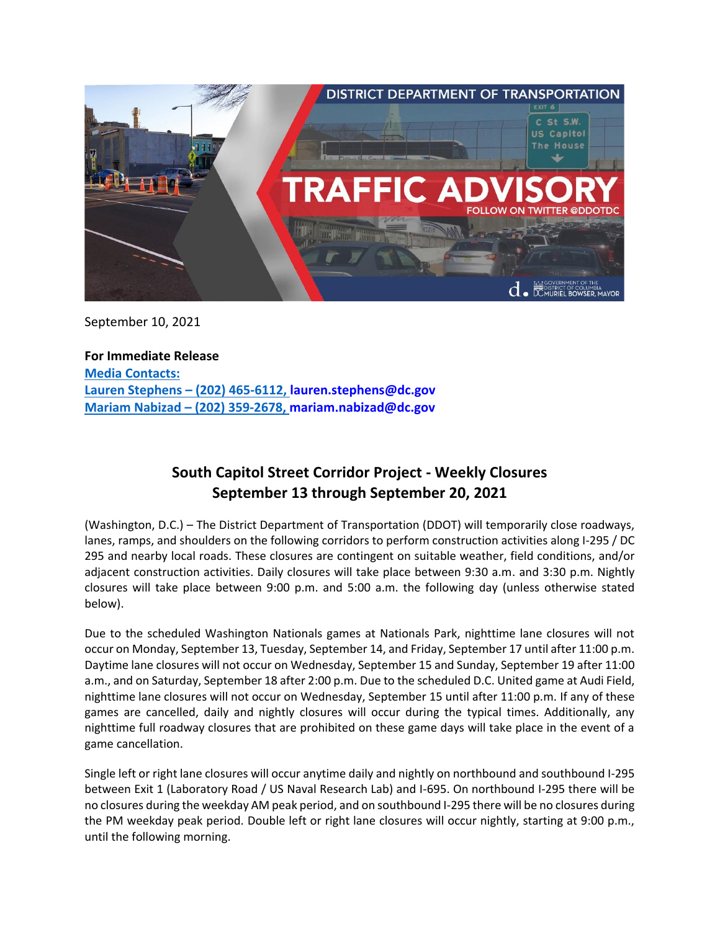

September 10, 2021

**For Immediate Release Media Contacts: Lauren Stephens – (202) 465-6112, [lauren.stephens@dc.gov](mailto:lauren.stephens@dc.gov) Mariam Nabizad – (202) 359-2678, [mariam.nabizad@dc.gov](mailto:mariam.nabizad@dc.gov)**

## **South Capitol Street Corridor Project - Weekly Closures September 13 through September 20, 2021**

(Washington, D.C.) – The District Department of Transportation (DDOT) will temporarily close roadways, lanes, ramps, and shoulders on the following corridors to perform construction activities along I-295 / DC 295 and nearby local roads. These closures are contingent on suitable weather, field conditions, and/or adjacent construction activities. Daily closures will take place between 9:30 a.m. and 3:30 p.m. Nightly closures will take place between 9:00 p.m. and 5:00 a.m. the following day (unless otherwise stated below).

Due to the scheduled Washington Nationals games at Nationals Park, nighttime lane closures will not occur on Monday, September 13, Tuesday, September 14, and Friday, September 17 until after 11:00 p.m. Daytime lane closures will not occur on Wednesday, September 15 and Sunday, September 19 after 11:00 a.m., and on Saturday, September 18 after 2:00 p.m. Due to the scheduled D.C. United game at Audi Field, nighttime lane closures will not occur on Wednesday, September 15 until after 11:00 p.m. If any of these games are cancelled, daily and nightly closures will occur during the typical times. Additionally, any nighttime full roadway closures that are prohibited on these game days will take place in the event of a game cancellation.

Single left or right lane closures will occur anytime daily and nightly on northbound and southbound I-295 between Exit 1 (Laboratory Road / US Naval Research Lab) and I-695. On northbound I-295 there will be no closures during the weekday AM peak period, and on southbound I-295 there will be no closures during the PM weekday peak period. Double left or right lane closures will occur nightly, starting at 9:00 p.m., until the following morning.